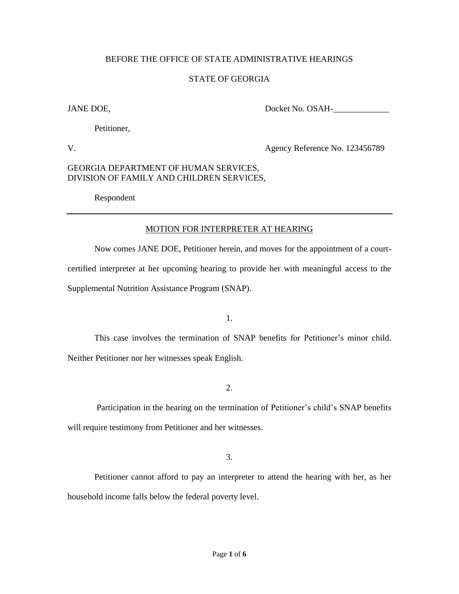### BEFORE THE OFFICE OF STATE ADMINISTRATIVE HEARINGS

### STATE OF GEORGIA

JANE DOE, Docket No. OSAH-\_\_\_\_\_\_\_\_\_\_\_\_\_

Petitioner,

V. Agency Reference No. 123456789

### GEORGIA DEPARTMENT OF HUMAN SERVICES, DIVISION OF FAMILY AND CHILDREN SERVICES,

Respondent

## MOTION FOR INTERPRETER AT HEARING

Now comes JANE DOE, Petitioner herein, and moves for the appointment of a courtcertified interpreter at her upcoming hearing to provide her with meaningful access to the Supplemental Nutrition Assistance Program (SNAP).

1.

This case involves the termination of SNAP benefits for Petitioner's minor child. Neither Petitioner nor her witnesses speak English.

2.

Participation in the hearing on the termination of Petitioner's child's SNAP benefits will require testimony from Petitioner and her witnesses.

3.

Petitioner cannot afford to pay an interpreter to attend the hearing with her, as her household income falls below the federal poverty level.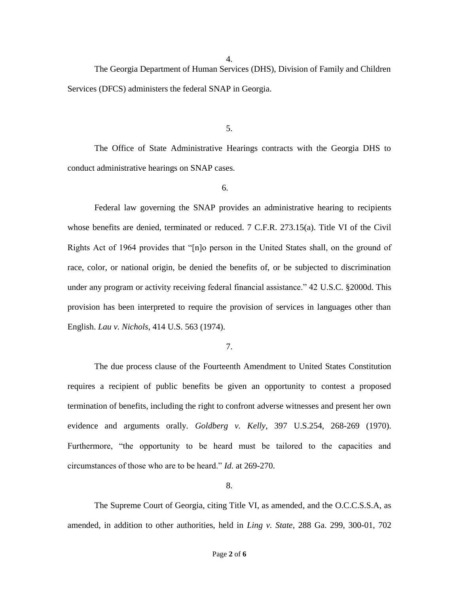4.

The Georgia Department of Human Services (DHS), Division of Family and Children Services (DFCS) administers the federal SNAP in Georgia.

5.

The Office of State Administrative Hearings contracts with the Georgia DHS to conduct administrative hearings on SNAP cases.

6.

Federal law governing the SNAP provides an administrative hearing to recipients whose benefits are denied, terminated or reduced. 7 C.F.R. 273.15(a). Title VI of the Civil Rights Act of 1964 provides that "[n]o person in the United States shall, on the ground of race, color, or national origin, be denied the benefits of, or be subjected to discrimination under any program or activity receiving federal financial assistance." 42 U.S.C. §2000d. This provision has been interpreted to require the provision of services in languages other than English. *Lau v. Nichols*, 414 U.S. 563 (1974).

7.

The due process clause of the Fourteenth Amendment to United States Constitution requires a recipient of public benefits be given an opportunity to contest a proposed termination of benefits, including the right to confront adverse witnesses and present her own evidence and arguments orally. *Goldberg v. Kelly*, 397 U.S.254, 268-269 (1970). Furthermore, "the opportunity to be heard must be tailored to the capacities and circumstances of those who are to be heard." *Id.* at 269-270.

8.

The Supreme Court of Georgia, citing Title VI, as amended, and the O.C.C.S.S.A, as amended, in addition to other authorities, held in *Ling v. State*, 288 Ga. 299, 300-01, 702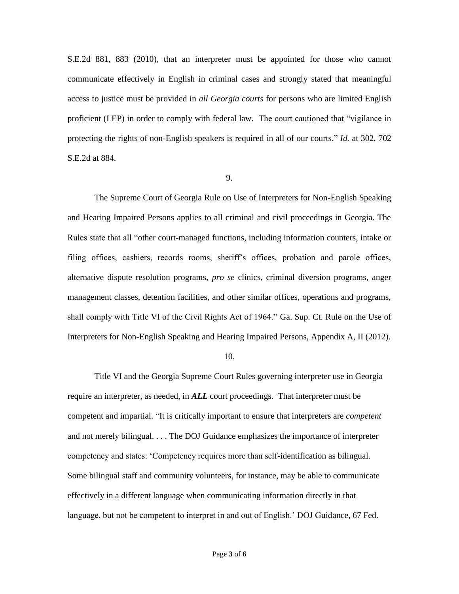S.E.2d 881, 883 (2010), that an interpreter must be appointed for those who cannot communicate effectively in English in criminal cases and strongly stated that meaningful access to justice must be provided in *all Georgia courts* for persons who are limited English proficient (LEP) in order to comply with federal law. The court cautioned that "vigilance in protecting the rights of non-English speakers is required in all of our courts." *Id.* at 302, 702 S.E.2d at 884.

#### 9.

The Supreme Court of Georgia Rule on Use of Interpreters for Non-English Speaking and Hearing Impaired Persons applies to all criminal and civil proceedings in Georgia. The Rules state that all "other court-managed functions, including information counters, intake or filing offices, cashiers, records rooms, sheriff's offices, probation and parole offices, alternative dispute resolution programs, *pro se* clinics, criminal diversion programs, anger management classes, detention facilities, and other similar offices, operations and programs, shall comply with Title VI of the Civil Rights Act of 1964." Ga. Sup. Ct. Rule on the Use of Interpreters for Non-English Speaking and Hearing Impaired Persons, Appendix A, II (2012).

#### 10.

Title VI and the Georgia Supreme Court Rules governing interpreter use in Georgia require an interpreter, as needed, in *ALL* court proceedings. That interpreter must be competent and impartial. "It is critically important to ensure that interpreters are *competent* and not merely bilingual. . . . The DOJ Guidance emphasizes the importance of interpreter competency and states: 'Competency requires more than self-identification as bilingual. Some bilingual staff and community volunteers, for instance, may be able to communicate effectively in a different language when communicating information directly in that language, but not be competent to interpret in and out of English.' DOJ Guidance, 67 Fed.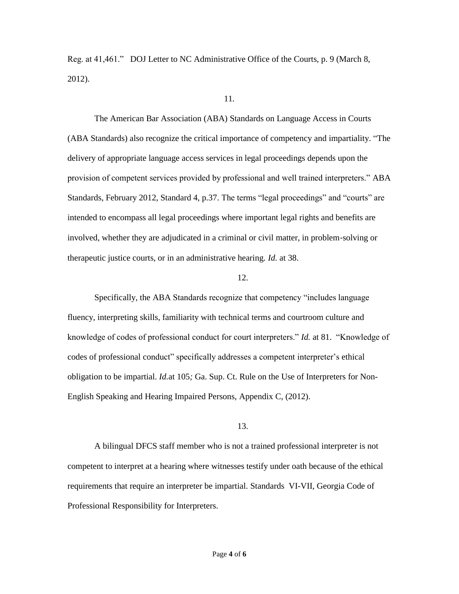Reg. at 41,461." DOJ Letter to NC Administrative Office of the Courts, p. 9 (March 8, 2012).

#### 11*.*

The American Bar Association (ABA) Standards on Language Access in Courts (ABA Standards) also recognize the critical importance of competency and impartiality. "The delivery of appropriate language access services in legal proceedings depends upon the provision of competent services provided by professional and well trained interpreters." ABA Standards, February 2012, Standard 4, p.37. The terms "legal proceedings" and "courts" are intended to encompass all legal proceedings where important legal rights and benefits are involved, whether they are adjudicated in a criminal or civil matter, in problem‐solving or therapeutic justice courts, or in an administrative hearing. *Id.* at 38.

#### 12.

Specifically, the ABA Standards recognize that competency "includes language fluency, interpreting skills, familiarity with technical terms and courtroom culture and knowledge of codes of professional conduct for court interpreters." *Id.* at 81. "Knowledge of codes of professional conduct" specifically addresses a competent interpreter's ethical obligation to be impartial. *Id.*at 105*;* Ga. Sup. Ct. Rule on the Use of Interpreters for Non-English Speaking and Hearing Impaired Persons, Appendix C, (2012).

#### 13.

A bilingual DFCS staff member who is not a trained professional interpreter is not competent to interpret at a hearing where witnesses testify under oath because of the ethical requirements that require an interpreter be impartial. Standards VI-VII, Georgia Code of Professional Responsibility for Interpreters.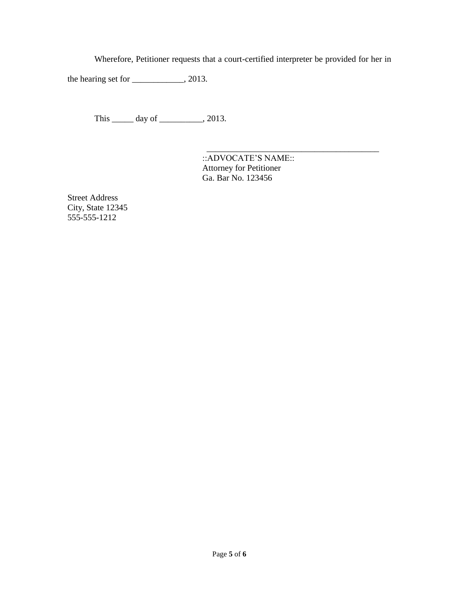Wherefore, Petitioner requests that a court-certified interpreter be provided for her in

the hearing set for \_\_\_\_\_\_\_\_\_\_\_, 2013.

This \_\_\_\_\_\_ day of \_\_\_\_\_\_\_\_\_, 2013.

::ADVOCATE'S NAME:: Attorney for Petitioner Ga. Bar No. 123456

 $\overline{\phantom{a}}$  , which is a set of the set of the set of the set of the set of the set of the set of the set of the set of the set of the set of the set of the set of the set of the set of the set of the set of the set of th

Street Address City, State 12345 555-555-1212